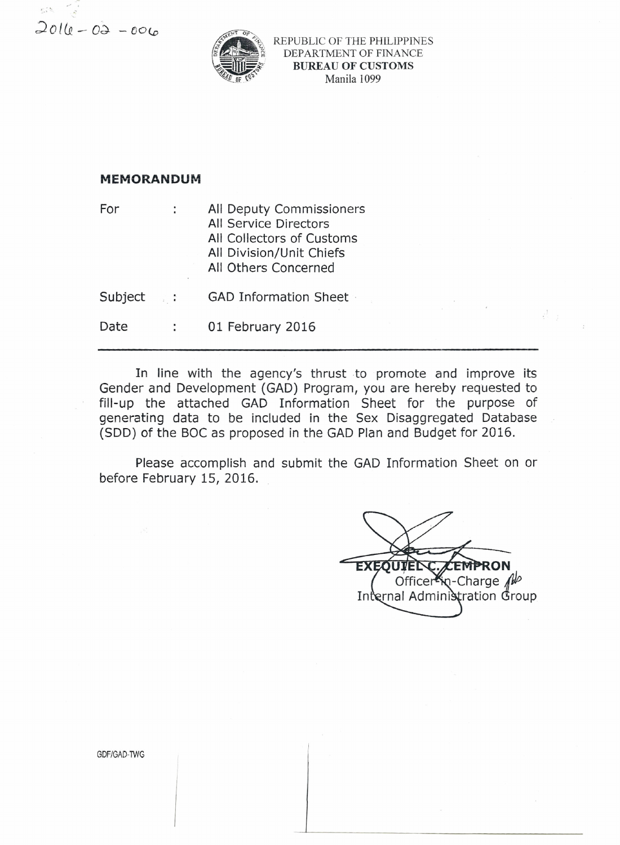$2010 - 02 - 006$ 



REPUBLIC OF THE PHILIPPINES DEPARTMENT OF FINANCE **BUREAU OF CUSTOMS** Manila 1099

## **MEMORANDUM**

For All Deputy Commissioners ÷ All Service Directors All Collectors of Customs All Division/Unit Chiefs All Others Concerned Subject : **GAD Information Sheet** Date  $\mathcal{L}^{\text{max}}$ 01 February 2016

In line with the agency's thrust to promote and improve its Gender and Development (GAD) Program, you are hereby requested to fill-up the attached GAD Information Sheet for the purpose of generating data to be included in the Sex Disaggregated Database (SDD) of the BOC as proposed in the GAD Plan and Budget for 2016.

Please accomplish and submit the GAD Information Sheet on or before February 15, 2016.

**EXEO** Officer<sup>2</sup><sub>N</sub>-Charge Allo Internal Administration Group

 $\mathcal{C}_{\mathcal{A}}$  :